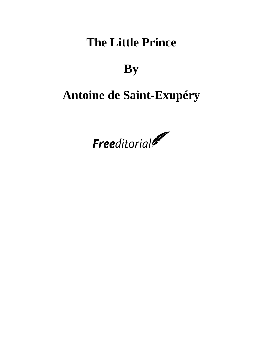# **The Little Prince**

**By**

# **Antoine de Saint-Exupéry**

Freeditorial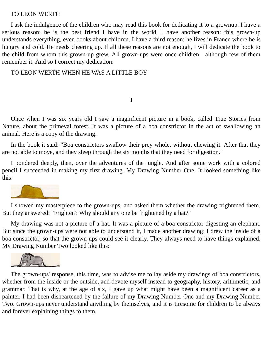#### TO LEON WERTH

I ask the indulgence of the children who may read this book for dedicating it to a grownup. I have a serious reason: he is the best friend I have in the world. I have another reason: this grown-up understands everything, even books about children. I have a third reason: he lives in France where he is hungry and cold. He needs cheering up. If all these reasons are not enough, I will dedicate the book to the child from whom this grown-up grew. All grown-ups were once children—although few of them remember it. And so I correct my dedication:

#### TO LEON WERTH WHEN HE WAS A LITTLE BOY

# **I**

Once when I was six years old I saw a magnificent picture in a book, called True Stories from Nature, about the primeval forest. It was a picture of a boa constrictor in the act of swallowing an animal. Here is a copy of the drawing.

In the book it said: "Boa constrictors swallow their prey whole, without chewing it. After that they are not able to move, and they sleep through the six months that they need for digestion."

I pondered deeply, then, over the adventures of the jungle. And after some work with a colored pencil I succeeded in making my first drawing. My Drawing Number One. It looked something like this:

I showed my masterpiece to the grown-ups, and asked them whether the drawing frightened them. But they answered: "Frighten? Why should any one be frightened by a hat?"

My drawing was not a picture of a hat. It was a picture of a boa constrictor digesting an elephant. But since the grown-ups were not able to understand it, I made another drawing: I drew the inside of a boa constrictor, so that the grown-ups could see it clearly. They always need to have things explained. My Drawing Number Two looked like this:



The grown-ups' response, this time, was to advise me to lay aside my drawings of boa constrictors, whether from the inside or the outside, and devote myself instead to geography, history, arithmetic, and grammar. That is why, at the age of six, I gave up what might have been a magnificent career as a painter. I had been disheartened by the failure of my Drawing Number One and my Drawing Number Two. Grown-ups never understand anything by themselves, and it is tiresome for children to be always and forever explaining things to them.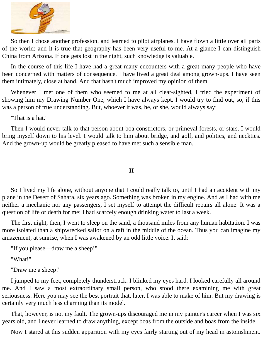

So then I chose another profession, and learned to pilot airplanes. I have flown a little over all parts of the world; and it is true that geography has been very useful to me. At a glance I can distinguish China from Arizona. If one gets lost in the night, such knowledge is valuable.

In the course of this life I have had a great many encounters with a great many people who have been concerned with matters of consequence. I have lived a great deal among grown-ups. I have seen them intimately, close at hand. And that hasn't much improved my opinion of them.

Whenever I met one of them who seemed to me at all clear-sighted, I tried the experiment of showing him my Drawing Number One, which I have always kept. I would try to find out, so, if this was a person of true understanding. But, whoever it was, he, or she, would always say:

"That is a hat."

Then I would never talk to that person about boa constrictors, or primeval forests, or stars. I would bring myself down to his level. I would talk to him about bridge, and golf, and politics, and neckties. And the grown-up would be greatly pleased to have met such a sensible man.

# **II**

So I lived my life alone, without anyone that I could really talk to, until I had an accident with my plane in the Desert of Sahara, six years ago. Something was broken in my engine. And as I had with me neither a mechanic nor any passengers, I set myself to attempt the difficult repairs all alone. It was a question of life or death for me: I had scarcely enough drinking water to last a week.

The first night, then, I went to sleep on the sand, a thousand miles from any human habitation. I was more isolated than a shipwrecked sailor on a raft in the middle of the ocean. Thus you can imagine my amazement, at sunrise, when I was awakened by an odd little voice. It said:

"If you please—draw me a sheep!"

"What!"

"Draw me a sheep!"

I jumped to my feet, completely thunderstruck. I blinked my eyes hard. I looked carefully all around me. And I saw a most extraordinary small person, who stood there examining me with great seriousness. Here you may see the best portrait that, later, I was able to make of him. But my drawing is certainly very much less charming than its model.

That, however, is not my fault. The grown-ups discouraged me in my painter's career when I was six years old, and I never learned to draw anything, except boas from the outside and boas from the inside.

Now I stared at this sudden apparition with my eyes fairly starting out of my head in astonishment.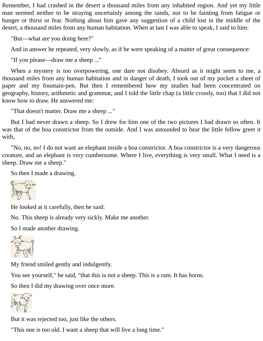Remember, I had crashed in the desert a thousand miles from any inhabited region. And yet my little man seemed neither to be straying uncertainly among the sands, nor to be fainting from fatigue or hunger or thirst or fear. Nothing about him gave any suggestion of a child lost in the middle of the desert, a thousand miles from any human habitation. When at last I was able to speak, I said to him:

"But—what are you doing here?"

And in answer he repeated, very slowly, as if he were speaking of a matter of great consequence:

"If you please—draw me a sheep ..."

When a mystery is too overpowering, one dare not disobey. Absurd as it might seem to me, a thousand miles from any human habitation and in danger of death, I took out of my pocket a sheet of paper and my fountain-pen. But then I remembered how my studies had been concentrated on geography, history, arithmetic and grammar, and I told the little chap (a little crossly, too) that I did not know how to draw. He answered me:

"That doesn't matter. Draw me a sheep ..."

But I had never drawn a sheep. So I drew for him one of the two pictures I had drawn so often. It was that of the boa constrictor from the outside. And I was astounded to hear the little fellow greet it with,

"No, no, no! I do not want an elephant inside a boa constrictor. A boa constrictor is a very dangerous creature, and an elephant is very cumbersome. Where I live, everything is very small. What I need is a sheep. Draw me a sheep."

So then I made a drawing.

He looked at it carefully, then he said:

No. This sheep is already very sickly. Make me another.

So I made another drawing.



My friend smiled gently and indulgently.

You see yourself," he said, "that this is not a sheep. This is a ram. It has horns.

So then I did my drawing over once more.



But it was rejected too, just like the others.

"This one is too old. I want a sheep that will live a long time."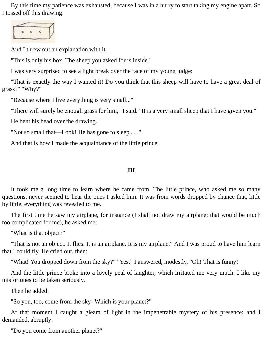By this time my patience was exhausted, because I was in a hurry to start taking my engine apart. So I tossed off this drawing.

$$
\begin{array}{|c|} \hline \cdots \\ \hline \end{array}
$$

And I threw out an explanation with it.

"This is only his box. The sheep you asked for is inside."

I was very surprised to see a light break over the face of my young judge:

"That is exactly the way I wanted it! Do you think that this sheep will have to have a great deal of grass?" "Why?"

"Because where I live everything is very small..."

"There will surely be enough grass for him," I said. "It is a very small sheep that I have given you."

He bent his head over the drawing.

"Not so small that—Look! He has gone to sleep . . ."

And that is how I made the acquaintance of the little prince.

# **III**

It took me a long time to learn where he came from. The little prince, who asked me so many questions, never seemed to hear the ones I asked him. It was from words dropped by chance that, little by little, everything was revealed to me.

The first time he saw my airplane, for instance (I shall not draw my airplane; that would be much too complicated for me), he asked me:

"What is that object?"

"That is not an object. It flies. It is an airplane. It is my airplane." And I was proud to have him learn that I could fly. He cried out, then:

"What! You dropped down from the sky?" "Yes," I answered, modestly. "Oh! That is funny!"

And the little prince broke into a lovely peal of laughter, which irritated me very much. I like my misfortunes to be taken seriously.

Then he added:

"So you, too, come from the sky! Which is your planet?"

At that moment I caught a gleam of light in the impenetrable mystery of his presence; and I demanded, abruptly:

"Do you come from another planet?"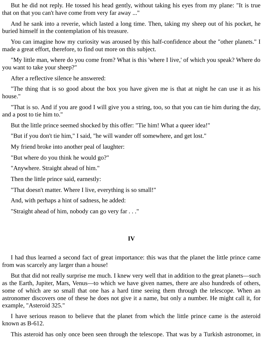But he did not reply. He tossed his head gently, without taking his eyes from my plane: "It is true that on that you can't have come from very far away ..."

And he sank into a reverie, which lasted a long time. Then, taking my sheep out of his pocket, he buried himself in the contemplation of his treasure.

You can imagine how my curiosity was aroused by this half-confidence about the "other planets." I made a great effort, therefore, to find out more on this subject.

"My little man, where do you come from? What is this 'where I live,' of which you speak? Where do you want to take your sheep?"

After a reflective silence he answered:

"The thing that is so good about the box you have given me is that at night he can use it as his house."

"That is so. And if you are good I will give you a string, too, so that you can tie him during the day, and a post to tie him to."

But the little prince seemed shocked by this offer: "Tie him! What a queer idea!"

"But if you don't tie him," I said, "he will wander off somewhere, and get lost."

My friend broke into another peal of laughter:

"But where do you think he would go?"

"Anywhere. Straight ahead of him."

Then the little prince said, earnestly:

"That doesn't matter. Where I live, everything is so small!"

And, with perhaps a hint of sadness, he added:

"Straight ahead of him, nobody can go very far . . ."

#### **IV**

I had thus learned a second fact of great importance: this was that the planet the little prince came from was scarcely any larger than a house!

But that did not really surprise me much. I knew very well that in addition to the great planets—such as the Earth, Jupiter, Mars, Venus—to which we have given names, there are also hundreds of others, some of which are so small that one has a hard time seeing them through the telescope. When an astronomer discovers one of these he does not give it a name, but only a number. He might call it, for example, "Asteroid 325."

I have serious reason to believe that the planet from which the little prince came is the asteroid known as B-612.

This asteroid has only once been seen through the telescope. That was by a Turkish astronomer, in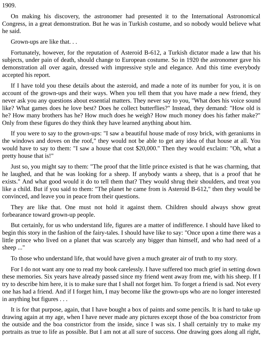1909.

On making his discovery, the astronomer had presented it to the International Astronomical Congress, in a great demonstration. But he was in Turkish costume, and so nobody would believe what he said.

Grown-ups are like that. . .

Fortunately, however, for the reputation of Asteroid B-612, a Turkish dictator made a law that his subjects, under pain of death, should change to European costume. So in 1920 the astronomer gave his demonstration all over again, dressed with impressive style and elegance. And this time everybody accepted his report.

If I have told you these details about the asteroid, and made a note of its number for you, it is on account of the grown-ups and their ways. When you tell them that you have made a new friend, they never ask you any questions about essential matters. They never say to you, "What does his voice sound like? What games does he love best? Does he collect butterflies?" Instead, they demand: "How old is he? How many brothers has he? How much does he weigh? How much money does his father make?" Only from these figures do they think they have learned anything about him.

If you were to say to the grown-ups: "I saw a beautiful house made of rosy brick, with geraniums in the windows and doves on the roof," they would not be able to get any idea of that house at all. You would have to say to them: "I saw a house that cost \$20,000." Then they would exclaim: "Oh, what a pretty house that is!"

Just so, you might say to them: "The proof that the little prince existed is that he was charming, that he laughed, and that he was looking for a sheep. If anybody wants a sheep, that is a proof that he exists." And what good would it do to tell them that? They would shrug their shoulders, and treat you like a child. But if you said to them: "The planet he came from is Asteroid B-612," then they would be convinced, and leave you in peace from their questions.

They are like that. One must not hold it against them. Children should always show great forbearance toward grown-up people.

But certainly, for us who understand life, figures are a matter of indifference. I should have liked to begin this story in the fashion of the fairy-tales. I should have like to say: "Once upon a time there was a little prince who lived on a planet that was scarcely any bigger than himself, and who had need of a sheep ..."

To those who understand life, that would have given a much greater air of truth to my story.

For I do not want any one to read my book carelessly. I have suffered too much grief in setting down these memories. Six years have already passed since my friend went away from me, with his sheep. If I try to describe him here, it is to make sure that I shall not forget him. To forget a friend is sad. Not every one has had a friend. And if I forget him, I may become like the grown-ups who are no longer interested in anything but figures . . .

It is for that purpose, again, that I have bought a box of paints and some pencils. It is hard to take up drawing again at my age, when I have never made any pictures except those of the boa constrictor from the outside and the boa constrictor from the inside, since I was six. I shall certainly try to make my portraits as true to life as possible. But I am not at all sure of success. One drawing goes along all right,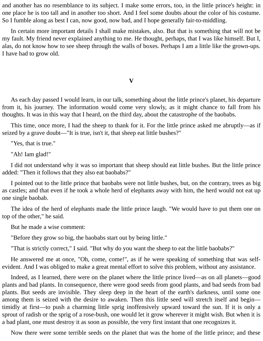and another has no resemblance to its subject. I make some errors, too, in the little prince's height: in one place he is too tall and in another too short. And I feel some doubts about the color of his costume. So I fumble along as best I can, now good, now bad, and I hope generally fair-to-middling.

In certain more important details I shall make mistakes, also. But that is something that will not be my fault. My friend never explained anything to me. He thought, perhaps, that I was like himself. But I, alas, do not know how to see sheep through the walls of boxes. Perhaps I am a little like the grown-ups. I have had to grow old.

### **V**

As each day passed I would learn, in our talk, something about the little prince's planet, his departure from it, his journey. The information would come very slowly, as it might chance to fall from his thoughts. It was in this way that I heard, on the third day, about the catastrophe of the baobabs.

This time, once more, I had the sheep to thank for it. For the little prince asked me abruptly—as if seized by a grave doubt—"It is true, isn't it, that sheep eat little bushes?"

"Yes, that is true."

"Ah! Iam glad!"

I did not understand why it was so important that sheep should eat little bushes. But the little prince added: "Then it follows that they also eat baobabs?"

I pointed out to the little prince that baobabs were not little bushes, but, on the contrary, trees as big as castles; and that even if he took a whole herd of elephants away with him, the herd would not eat up one single baobab.

The idea of the herd of elephants made the little prince laugh. "We would have to put them one on top of the other," he said.

But he made a wise comment:

"Before they grow so big, the baobabs start out by being little."

"That is strictly correct," I said. "But why do you want the sheep to eat the little baobabs?"

He answered me at once, "Oh, come, come!", as if he were speaking of something that was selfevident. And I was obliged to make a great mental effort to solve this problem, without any assistance.

Indeed, as I learned, there were on the planet where the little prince lived—as on all planets—good plants and bad plants. In consequence, there were good seeds from good plants, and bad seeds from bad plants. But seeds are invisible. They sleep deep in the heart of the earth's darkness, until some one among them is seized with the desire to awaken. Then this little seed will stretch itself and begin timidly at first—to push a charming little sprig inoffensively upward toward the sun. If it is only a sprout of radish or the sprig of a rose-bush, one would let it grow wherever it might wish. But when it is a bad plant, one must destroy it as soon as possible, the very first instant that one recognizes it.

Now there were some terrible seeds on the planet that was the home of the little prince; and these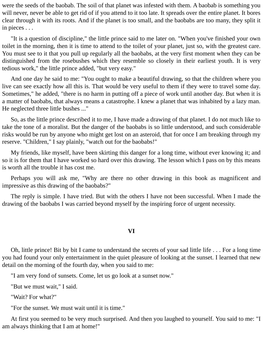were the seeds of the baobab. The soil of that planet was infested with them. A baobab is something you will never, never be able to get rid of if you attend to it too late. It spreads over the entire planet. It bores clear through it with its roots. And if the planet is too small, and the baobabs are too many, they split it in pieces . . .

"It is a question of discipline," the little prince said to me later on. "When you've finished your own toilet in the morning, then it is time to attend to the toilet of your planet, just so, with the greatest care. You must see to it that you pull up regularly all the baobabs, at the very first moment when they can be distinguished from the rosebushes which they resemble so closely in their earliest youth. It is very tedious work," the little prince added, "but very easy."

And one day he said to me: "You ought to make a beautiful drawing, so that the children where you live can see exactly how all this is. That would be very useful to them if they were to travel some day. Sometimes," he added, "there is no harm in putting off a piece of work until another day. But when it is a matter of baobabs, that always means a catastrophe. I knew a planet that was inhabited by a lazy man. He neglected three little bushes ..."

So, as the little prince described it to me, I have made a drawing of that planet. I do not much like to take the tone of a moralist. But the danger of the baobabs is so little understood, and such considerable risks would be run by anyone who might get lost on an asteroid, that for once I am breaking through my reserve. "Children," I say plainly, "watch out for the baobabs!"

My friends, like myself, have been skirting this danger for a long time, without ever knowing it; and so it is for them that I have worked so hard over this drawing. The lesson which I pass on by this means is worth all the trouble it has cost me.

Perhaps you will ask me, "Why are there no other drawing in this book as magnificent and impressive as this drawing of the baobabs?"

The reply is simple. I have tried. But with the others I have not been successful. When I made the drawing of the baobabs I was carried beyond myself by the inspiring force of urgent necessity.

#### **VI**

Oh, little prince! Bit by bit I came to understand the secrets of your sad little life . . . For a long time you had found your only entertainment in the quiet pleasure of looking at the sunset. I learned that new detail on the morning of the fourth day, when you said to me:

"I am very fond of sunsets. Come, let us go look at a sunset now."

"But we must wait," I said.

"Wait? For what?"

"For the sunset. We must wait until it is time."

At first you seemed to be very much surprised. And then you laughed to yourself. You said to me: "I am always thinking that I am at home!"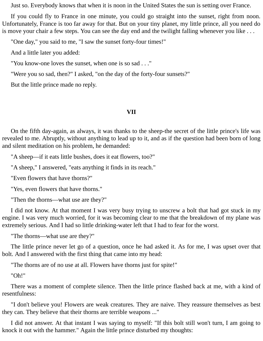Just so. Everybody knows that when it is noon in the United States the sun is setting over France.

If you could fly to France in one minute, you could go straight into the sunset, right from noon. Unfortunately, France is too far away for that. But on your tiny planet, my little prince, all you need do is move your chair a few steps. You can see the day end and the twilight falling whenever you like . . .

"One day," you said to me, "I saw the sunset forty-four times!"

And a little later you added:

"You know-one loves the sunset, when one is so sad . . ."

"Were you so sad, then?" I asked, "on the day of the forty-four sunsets?"

But the little prince made no reply.

# **VII**

On the fifth day-again, as always, it was thanks to the sheep-the secret of the little prince's life was revealed to me. Abruptly, without anything to lead up to it, and as if the question had been born of long and silent meditation on his problem, he demanded:

"A sheep—if it eats little bushes, does it eat flowers, too?"

"A sheep," I answered, "eats anything it finds in its reach."

"Even flowers that have thorns?"

"Yes, even flowers that have thorns."

"Then the thorns—what use are they?"

I did not know. At that moment I was very busy trying to unscrew a bolt that had got stuck in my engine. I was very much worried, for it was becoming clear to me that the breakdown of my plane was extremely serious. And I had so little drinking-water left that I had to fear for the worst.

"The thorns—what use are they?"

The little prince never let go of a question, once he had asked it. As for me, I was upset over that bolt. And I answered with the first thing that came into my head:

"The thorns are of no use at all. Flowers have thorns just for spite!"

"Oh!"

There was a moment of complete silence. Then the little prince flashed back at me, with a kind of resentfulness:

"I don't believe you! Flowers are weak creatures. They are naive. They reassure themselves as best they can. They believe that their thorns are terrible weapons ..."

I did not answer. At that instant I was saying to myself: "If this bolt still won't turn, I am going to knock it out with the hammer." Again the little prince disturbed my thoughts: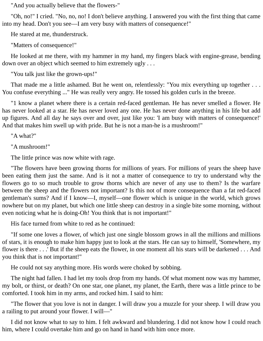"And you actually believe that the flowers-"

"Oh, no!" I cried. "No, no, no! I don't believe anything. I answered you with the first thing that came into my head. Don't you see—I am very busy with matters of consequence!"

He stared at me, thunderstruck.

"Matters of consequence!"

He looked at me there, with my hammer in my hand, my fingers black with engine-grease, bending down over an object which seemed to him extremely ugly . . .

"You talk just like the grown-ups!"

That made me a little ashamed. But he went on, relentlessly: "You mix everything up together . . . You confuse everything ..." He was really very angry. He tossed his golden curls in the breeze.

"1 know a planet where there is a certain red-faced gentleman. He has never smelled a flower. He has never looked at a star. He has never loved any one. He has never done anything in his life but add up figures. And all day he says over and over, just like you: 'I am busy with matters of consequence!' And that makes him swell up with pride. But he is not a man-he is a mushroom!"

"A what?"

"A mushroom!"

The little prince was now white with rage.

"The flowers have been growing thorns for millions of years. For millions of years the sheep have been eating them just the same. And is it not a matter of consequence to try to understand why the flowers go to so much trouble to grow thorns which are never of any use to them? Is the warfare between the sheep and the flowers not important? Is this not of more consequence than a fat red-faced gentleman's sums? And if I know—I, myself—one flower which is unique in the world, which grows nowhere but on my planet, but which one little sheep can destroy in a single bite some morning, without even noticing what he is doing-Oh! You think that is not important!"

His face turned from white to red as he continued:

"If some one loves a flower, of which just one single blossom grows in all the millions and millions of stars, it is enough to make him happy just to look at the stars. He can say to himself, 'Somewhere, my flower is there . . .' But if the sheep eats the flower, in one moment all his stars will be darkened . . . And you think that is not important!"

He could not say anything more. His words were choked by sobbing.

The night had fallen. I had let my tools drop from my hands. Of what moment now was my hammer, my bolt, or thirst, or death? On one star, one planet, my planet, the Earth, there was a little prince to be comforted. I took him in my arms, and rocked him. I said to him:

"The flower that you love is not in danger. I will draw you a muzzle for your sheep. I will draw you a railing to put around your flower. I will—"

I did not know what to say to him. I felt awkward and blundering. I did not know how I could reach him, where I could overtake him and go on hand in hand with him once more.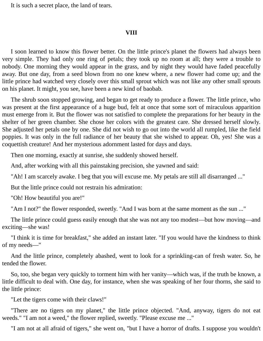It is such a secret place, the land of tears.

#### **VIII**

I soon learned to know this flower better. On the little prince's planet the flowers had always been very simple. They had only one ring of petals; they took up no room at all; they were a trouble to nobody. One morning they would appear in the grass, and by night they would have faded peacefully away. But one day, from a seed blown from no one knew where, a new flower had come up; and the little prince had watched very closely over this small sprout which was not like any other small sprouts on his planet. It might, you see, have been a new kind of baobab.

The shrub soon stopped growing, and began to get ready to produce a flower. The little prince, who was present at the first appearance of a huge bud, felt at once that some sort of miraculous apparition must emerge from it. But the flower was not satisfied to complete the preparations for her beauty in the shelter of her green chamber. She chose her colors with the greatest care. She dressed herself slowly. She adjusted her petals one by one. She did not wish to go out into the world all rumpled, like the field poppies. It was only in the full radiance of her beauty that she wished to appear. Oh, yes! She was a coquettish creature! And her mysterious adornment lasted for days and days.

Then one morning, exactly at sunrise, she suddenly showed herself.

And, after working with all this painstaking precision, she yawned and said:

"Ah! I am scarcely awake. I beg that you will excuse me. My petals are still all disarranged ..."

But the little prince could not restrain his admiration:

"Oh! How beautiful you are!"

"Am I not?" the flower responded, sweetly. "And I was born at the same moment as the sun ..."

The little prince could guess easily enough that she was not any too modest—but how moving—and exciting—she was!

"I think it is time for breakfast," she added an instant later. "If you would have the kindness to think of my needs—"

And the little prince, completely abashed, went to look for a sprinkling-can of fresh water. So, he tended the flower.

So, too, she began very quickly to torment him with her vanity—which was, if the truth be known, a little difficult to deal with. One day, for instance, when she was speaking of her four thorns, she said to the little prince:

"Let the tigers come with their claws!"

"There are no tigers on my planet," the little prince objected. "And, anyway, tigers do not eat weeds." "I am not a weed," the flower replied, sweetly. "Please excuse me ..."

"I am not at all afraid of tigers," she went on, "but I have a horror of drafts. I suppose you wouldn't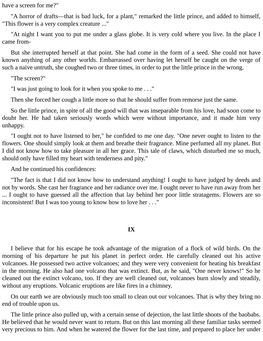have a screen for me?"

"A horror of drafts—that is bad luck, for a plant," remarked the little prince, and added to himself, "This flower is a very complex creature ..."

"At night I want you to put me under a glass globe. It is very cold where you live. In the place I came from-

But she interrupted herself at that point. She had come in the form of a seed. She could not have known anything of any other worlds. Embarrassed over having let herself be caught on the verge of such a naive untruth, she coughed two or three times, in order to put the little prince in the wrong.

"The screen?"

"I was just going to look for it when you spoke to me . . ."

Then she forced her cough a little more so that he should suffer from remorse just the same.

So the little prince, in spite of all the good will that was inseparable from his love, had soon come to doubt her. He had taken seriously words which were without importance, and it made him very unhappy.

"I ought not to have listened to her," he confided to me one day. "One never ought to listen to the flowers. One should simply look at them and breathe their fragrance. Mine perfumed all my planet. But I did not know how to take pleasure in all her grace. This tale of claws, which disturbed me so much, should only have filled my heart with tenderness and pity."

And he continued his confidences:

"The fact is that I did not know how to understand anything! I ought to have judged by deeds and not by words. She cast her fragrance and her radiance over me. I ought never to have run away from her ... I ought to have guessed all the affection that lay behind her poor little stratagems. Flowers are so inconsistent! But I was too young to know how to love her . . ."

#### **IX**

I believe that for his escape he took advantage of the migration of a flock of wild birds. On the morning of his departure he put his planet in perfect order. He carefully cleaned out his active volcanoes. He possessed two active volcanoes; and they were very convenient for heating his breakfast in the morning. He also had one volcano that was extinct. But, as he said, "One never knows!" So he cleaned out the extinct volcano, too. If they are well cleaned out, volcanoes burn slowly and steadily, without any eruptions. Volcanic eruptions are like fires in a chimney.

On our earth we are obviously much too small to clean out our volcanoes. That is why they bring no end of trouble upon us.

The little prince also pulled up, with a certain sense of dejection, the last little shoots of the baobabs. He believed that he would never want to return. But on this last morning all these familiar tasks seemed very precious to him. And when he watered the flower for the last time, and prepared to place her under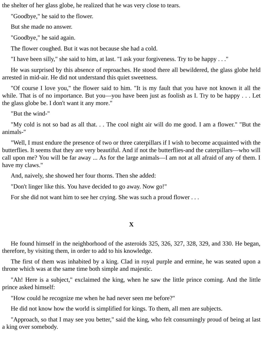the shelter of her glass globe, he realized that he was very close to tears.

"Goodbye," he said to the flower.

But she made no answer.

"Goodbye," he said again.

The flower coughed. But it was not because she had a cold.

"I have been silly," she said to him, at last. "I ask your forgiveness. Try to be happy . . ."

He was surprised by this absence of reproaches. He stood there all bewildered, the glass globe held arrested in mid-air. He did not understand this quiet sweetness.

"Of course I love you," the flower said to him. "It is my fault that you have not known it all the while. That is of no importance. But you—you have been just as foolish as I. Try to be happy . . . Let the glass globe be. I don't want it any more."

"But the wind-"

"My cold is not so bad as all that. . . The cool night air will do me good. I am a flower." "But the animals-"

"Well, I must endure the presence of two or three caterpillars if I wish to become acquainted with the butterflies. It seems that they are very beautiful. And if not the butterflies-and the caterpillars—who will call upon me? You will be far away ... As for the large animals—I am not at all afraid of any of them. I have my claws."

And, naively, she showed her four thorns. Then she added:

"Don't linger like this. You have decided to go away. Now go!"

For she did not want him to see her crying. She was such a proud flower . . .

# **X**

He found himself in the neighborhood of the asteroids 325, 326, 327, 328, 329, and 330. He began, therefore, by visiting them, in order to add to his knowledge.

The first of them was inhabited by a king. Clad in royal purple and ermine, he was seated upon a throne which was at the same time both simple and majestic.

"Ah! Here is a subject," exclaimed the king, when he saw the little prince coming. And the little prince asked himself:

"How could he recognize me when he had never seen me before?"

He did not know how the world is simplified for kings. To them, all men are subjects.

"Approach, so that I may see you better," said the king, who felt consumingly proud of being at last a king over somebody.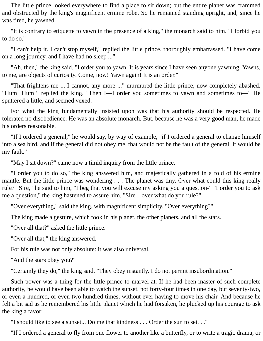The little prince looked everywhere to find a place to sit down; but the entire planet was crammed and obstructed by the king's magnificent ermine robe. So he remained standing upright, and, since he was tired, he yawned.

"It is contrary to etiquette to yawn in the presence of a king," the monarch said to him. "I forbid you to do so."

"I can't help it. I can't stop myself," replied the little prince, thoroughly embarrassed. "I have come on a long journey, and I have had no sleep ..."

"Ah, then," the king said. "I order you to yawn. It is years since I have seen anyone yawning. Yawns, to me, are objects of curiosity. Come, now! Yawn again! It is an order."

"That frightens me ... I cannot, any more ..." murmured the little prince, now completely abashed. "Hum! Hum!" replied the king. "Then I—I order you sometimes to yawn and sometimes to—" He sputtered a little, and seemed vexed.

For what the king fundamentally insisted upon was that his authority should be respected. He tolerated no disobedience. He was an absolute monarch. But, because he was a very good man, he made his orders reasonable.

"If I ordered a general," he would say, by way of example, "if I ordered a general to change himself into a sea bird, and if the general did not obey me, that would not be the fault of the general. It would be my fault."

"May I sit down?" came now a timid inquiry from the little prince.

"I order you to do so," the king answered him, and majestically gathered in a fold of his ermine mantle. But the little prince was wondering . . . The planet was tiny. Over what could this king really rule? "Sire," he said to him, "I beg that you will excuse my asking you a question-" "I order you to ask me a question," the king hastened to assure him. "Sire—over what do you rule?"

"Over everything," said the king, with magnificent simplicity. "Over everything?"

The king made a gesture, which took in his planet, the other planets, and all the stars.

"Over all that?" asked the little prince.

"Over all that," the king answered.

For his rule was not only absolute: it was also universal.

"And the stars obey you?"

"Certainly they do," the king said. "They obey instantly. I do not permit insubordination."

Such power was a thing for the little prince to marvel at. If he had been master of such complete authority, he would have been able to watch the sunset, not forty-four times in one day, but seventy-two, or even a hundred, or even two hundred times, without ever having to move his chair. And because he felt a bit sad as he remembered his little planet which he had forsaken, he plucked up his courage to ask the king a favor:

"I should like to see a sunset... Do me that kindness . . . Order the sun to set. . ."

"If I ordered a general to fly from one flower to another like a butterfly, or to write a tragic drama, or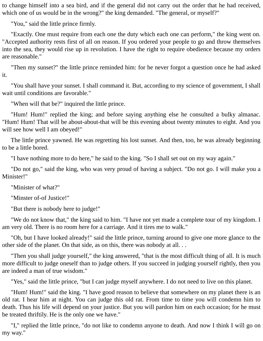to change himself into a sea bird, and if the general did not carry out the order that he had received, which one of us would be in the wrong?" the king demanded. "The general, or myself?"

"You," said the little prince firmly.

"Exactly. One must require from each one the duty which each one can perform," the king went on. "Accepted authority rests first of all on reason. If you ordered your people to go and throw themselves into the sea, they would rise up in revolution. I have the right to require obedience because my orders are reasonable."

"Then my sunset?" the little prince reminded him: for he never forgot a question once he had asked it.

"You shall have your sunset. I shall command it. But, according to my science of government, I shall wait until conditions are favorable."

"When will that be?" inquired the little prince.

"Hum! Hum!" replied the king; and before saying anything else he consulted a bulky almanac. "Hum! Hum! That will be about-about-that will be this evening about twenty minutes to eight. And you will see how well I am obeyed!"

The little prince yawned. He was regretting his lost sunset. And then, too, he was already beginning to be a little bored.

"I have nothing more to do here," he said to the king. "So I shall set out on my way again."

"Do not go," said the king, who was very proud of having a subject. "Do not go. I will make you a Minister!"

"Minister of what?"

"Minster of-of Justice!"

"But there is nobody here to judge!"

"We do not know that," the king said to him. "I have not yet made a complete tour of my kingdom. I am very old. There is no room here for a carriage. And it tires me to walk."

"Oh, but I have looked already!" said the little prince, turning around to give one more glance to the other side of the planet. On that side, as on this, there was nobody at all. . .

"Then you shall judge yourself," the king answered, "that is the most difficult thing of all. It is much more difficult to judge oneself than to judge others. If you succeed in judging yourself rightly, then you are indeed a man of true wisdom."

"Yes," said the little prince, "but I can judge myself anywhere. I do not need to live on this planet.

"Hum! Hum!" said the king. "I have good reason to believe that somewhere on my planet there is an old rat. I hear him at night. You can judge this old rat. From time to time you will condemn him to death. Thus his life will depend on your justice. But you will pardon him on each occasion; for he must be treated thriftily. He is the only one we have."

"I," replied the little prince, "do not like to condemn anyone to death. And now I think I will go on my way."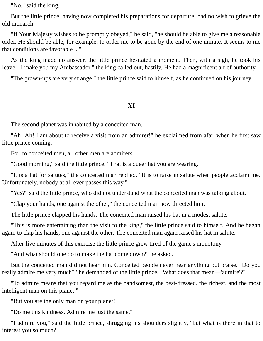"No," said the king.

But the little prince, having now completed his preparations for departure, had no wish to grieve the old monarch.

"If Your Majesty wishes to be promptly obeyed," he said, "he should be able to give me a reasonable order. He should be able, for example, to order me to be gone by the end of one minute. It seems to me that conditions are favorable ..."

As the king made no answer, the little prince hesitated a moment. Then, with a sigh, he took his leave. "I make you my Ambassador," the king called out, hastily. He had a magnificent air of authority.

"The grown-ups are very strange," the little prince said to himself, as he continued on his journey.

#### **XI**

The second planet was inhabited by a conceited man.

"Ah! Ah! I am about to receive a visit from an admirer!" he exclaimed from afar, when he first saw little prince coming.

For, to conceited men, all other men are admirers.

"Good morning," said the little prince. "That is a queer hat you are wearing."

"It is a hat for salutes," the conceited man replied. "It is to raise in salute when people acclaim me. Unfortunately, nobody at all ever passes this way."

"Yes?" said the little prince, who did not understand what the conceited man was talking about.

"Clap your hands, one against the other," the conceited man now directed him.

The little prince clapped his hands. The conceited man raised his hat in a modest salute.

"This is more entertaining than the visit to the king," the little prince said to himself. And he began again to clap his hands, one against the other. The conceited man again raised his hat in salute.

After five minutes of this exercise the little prince grew tired of the game's monotony.

"And what should one do to make the hat come down?" he asked.

But the conceited man did not hear him. Conceited people never hear anything but praise. "Do you really admire me very much?" he demanded of the little prince. "What does that mean—'admire'?"

"To admire means that you regard me as the handsomest, the best-dressed, the richest, and the most intelligent man on this planet."

"But you are the only man on your planet!"

"Do me this kindness. Admire me just the same."

"I admire you," said the little prince, shrugging his shoulders slightly, "but what is there in that to interest you so much?"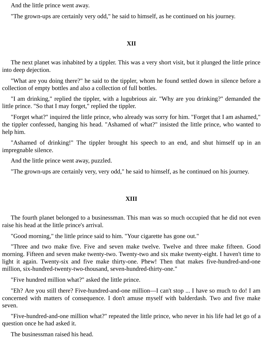And the little prince went away.

"The grown-ups are certainly very odd," he said to himself, as he continued on his journey.

# **XII**

The next planet was inhabited by a tippler. This was a very short visit, but it plunged the little prince into deep dejection.

"What are you doing there?" he said to the tippler, whom he found settled down in silence before a collection of empty bottles and also a collection of full bottles.

"I am drinking," replied the tippler, with a lugubrious air. "Why are you drinking?" demanded the little prince. "So that I may forget," replied the tippler.

"Forget what?" inquired the little prince, who already was sorry for him. "Forget that I am ashamed," the tippler confessed, hanging his head. "Ashamed of what?" insisted the little prince, who wanted to help him.

"Ashamed of drinking!" The tippler brought his speech to an end, and shut himself up in an impregnable silence.

And the little prince went away, puzzled.

"The grown-ups are certainly very, very odd," he said to himself, as he continued on his journey.

#### **XIII**

The fourth planet belonged to a businessman. This man was so much occupied that he did not even raise his head at the little prince's arrival.

"Good morning," the little prince said to him. "Your cigarette has gone out."

"Three and two make five. Five and seven make twelve. Twelve and three make fifteen. Good morning. Fifteen and seven make twenty-two. Twenty-two and six make twenty-eight. I haven't time to light it again. Twenty-six and five make thirty-one. Phew! Then that makes five-hundred-and-one million, six-hundred-twenty-two-thousand, seven-hundred-thirty-one."

"Five hundred million what?" asked the little prince.

"Eh? Are you still there? Five-hundred-and-one million—I can't stop ... I have so much to do! I am concerned with matters of consequence. I don't amuse myself with balderdash. Two and five make seven.

"Five-hundred-and-one million what?" repeated the little prince, who never in his life had let go of a question once he had asked it.

The businessman raised his head.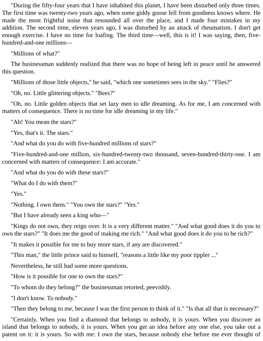"During the fifty-four years that I have inhabited this planet, I have been disturbed only three times. The first time was twenty-two years ago, when some giddy goose fell from goodness knows where. He made the most frightful noise that resounded all over the place, and I made four mistakes in my addition. The second time, eleven years ago, I was disturbed by an attack of rheumatism. I don't get enough exercise. I have no time for loafing. The third time—well, this is it! I was saying, then, fivehundred-and-one millions—

"Millions of what?"

The businessman suddenly realized that there was no hope of being left in peace until he answered this question.

"Millions of those little objects," he said, "which one sometimes sees in the sky." "Flies?"

"Oh, no. Little glittering objects." "Bees?"

"Oh, no. Little golden objects that set lazy men to idle dreaming. As for me, I am concerned with matters of consequence. There is no time for idle dreaming in my life."

"Ah! You mean the stars?"

"Yes, that's it. The stars."

"And what do you do with five-hundred millions of stars?"

"Five-hundred-and-one million, six-hundred-twenty-two thousand, seven-hundred-thirty-one. I am concerned with matters of consequence: I am accurate."

"And what do you do with these stars?"

"What do I do with them?"

"Yes."

"Nothing. I own them." "You own the stars?" "Yes."

"But I have already seen a king who—"

"Kings do not own, they reign over. It is a very different matter." "And what good does it do you to own the stars?" "It does me the good of making me rich." "And what good does it do you to be rich?"

"It makes it possible for me to buy more stars, if any are discovered."

"This man," the little prince said to himself, "reasons a little like my poor tippler ..."

Nevertheless, he still had some more questions.

"How is it possible for one to own the stars?"

"To whom do they belong?" the businessman retorted, peevishly.

"I don't know. To nobody."

"Then they belong to me, because I was the first person to think of it." "Is that all that is necessary?"

"Certainly. When you find a diamond that belongs to nobody, it is yours. When you discover an island that belongs to nobody, it is yours. When you get an idea before any one else, you take out a patent on it: it is yours. So with me: I own the stars, because nobody else before me ever thought of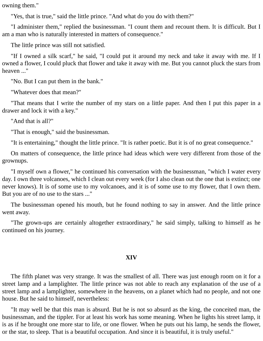owning them."

"Yes, that is true," said the little prince. "And what do you do with them?"

"I administer them," replied the businessman. "I count them and recount them. It is difficult. But I am a man who is naturally interested in matters of consequence."

The little prince was still not satisfied.

"If I owned a silk scarf," he said, "I could put it around my neck and take it away with me. If I owned a flower, I could pluck that flower and take it away with me. But you cannot pluck the stars from heaven ..."

"No. But I can put them in the bank."

"Whatever does that mean?"

"That means that I write the number of my stars on a little paper. And then I put this paper in a drawer and lock it with a key."

"And that is all?"

"That is enough," said the businessman.

"It is entertaining," thought the little prince. "It is rather poetic. But it is of no great consequence."

On matters of consequence, the little prince had ideas which were very different from those of the grownups.

"I myself own a flower," he continued his conversation with the businessman, "which I water every day. I own three volcanoes, which I clean out every week (for I also clean out the one that is extinct; one never knows). It is of some use to my volcanoes, and it is of some use to my flower, that I own them. But you are of no use to the stars ..."

The businessman opened his mouth, but he found nothing to say in answer. And the little prince went away.

"The grown-ups are certainly altogether extraordinary," he said simply, talking to himself as he continued on his journey.

# **XIV**

The fifth planet was very strange. It was the smallest of all. There was just enough room on it for a street lamp and a lamplighter. The little prince was not able to reach any explanation of the use of a street lamp and a lamplighter, somewhere in the heavens, on a planet which had no people, and not one house. But he said to himself, nevertheless:

"It may well be that this man is absurd. But he is not so absurd as the king, the conceited man, the businessman, and the tippler. For at least his work has some meaning. When he lights his street lamp, it is as if he brought one more star to life, or one flower. When he puts out his lamp, he sends the flower, or the star, to sleep. That is a beautiful occupation. And since it is beautiful, it is truly useful."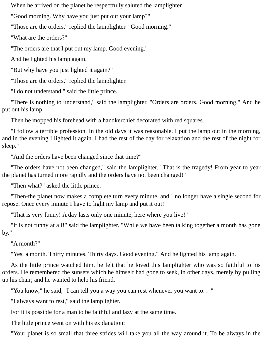When he arrived on the planet he respectfully saluted the lamplighter.

"Good morning. Why have you just put out your lamp?"

"Those are the orders," replied the lamplighter. "Good morning."

"What are the orders?"

"The orders are that I put out my lamp. Good evening."

And he lighted his lamp again.

"But why have you just lighted it again?"

"Those are the orders," replied the lamplighter.

"I do not understand," said the little prince.

"There is nothing to understand," said the lamplighter. "Orders are orders. Good morning." And he put out his lamp.

Then he mopped his forehead with a handkerchief decorated with red squares.

"I follow a terrible profession. In the old days it was reasonable. I put the lamp out in the morning, and in the evening I lighted it again. I had the rest of the day for relaxation and the rest of the night for sleep."

"And the orders have been changed since that time?"

"The orders have not been changed," said the lamplighter. "That is the tragedy! From year to year the planet has turned more rapidly and the orders have not been changed!"

"Then what?" asked the little prince.

"Then-the planet now makes a complete turn every minute, and I no longer have a single second for repose. Once every minute I have to light my lamp and put it out!"

"That is very funny! A day lasts only one minute, here where you live!"

"It is not funny at all!" said the lamplighter. "While we have been talking together a month has gone by."

"A month?"

"Yes, a month. Thirty minutes. Thirty days. Good evening." And he lighted his lamp again.

As the little prince watched him, he felt that he loved this lamplighter who was so faithful to his orders. He remembered the sunsets which he himself had gone to seek, in other days, merely by pulling up his chair; and he wanted to help his friend.

"You know," he said, "I can tell you a way you can rest whenever you want to. . ."

"I always want to rest," said the lamplighter.

For it is possible for a man to be faithful and lazy at the same time.

The little prince went on with his explanation:

"Your planet is so small that three strides will take you all the way around it. To be always in the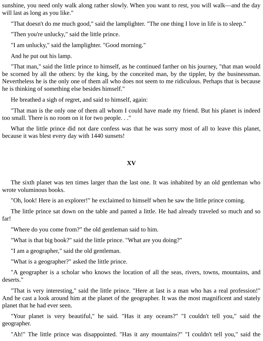sunshine, you need only walk along rather slowly. When you want to rest, you will walk—and the day will last as long as you like."

"That doesn't do me much good," said the lamplighter. "The one thing I love in life is to sleep."

"Then you're unlucky," said the little prince.

"I am unlucky," said the lamplighter. "Good morning."

And he put out his lamp.

"That man," said the little prince to himself, as he continued farther on his journey, "that man would be scorned by all the others: by the king, by the conceited man, by the tippler, by the businessman. Nevertheless he is the only one of them all who does not seem to me ridiculous. Perhaps that is because he is thinking of something else besides himself."

He breathed a sigh of regret, and said to himself, again:

"That man is the only one of them all whom I could have made my friend. But his planet is indeed too small. There is no room on it for two people. . ."

What the little prince did not dare confess was that he was sorry most of all to leave this planet, because it was blest every day with 1440 sunsets!

# **XV**

The sixth planet was ten times larger than the last one. It was inhabited by an old gentleman who wrote voluminous books.

"Oh, look! Here is an explorer!" he exclaimed to himself when he saw the little prince coming.

The little prince sat down on the table and panted a little. He had already traveled so much and so far!

"Where do you come from?" the old gentleman said to him.

"What is that big book?" said the little prince. "What are you doing?"

"I am a geographer," said the old gentleman.

"What is a geographer?" asked the little prince.

"A geographer is a scholar who knows the location of all the seas, rivers, towns, mountains, and deserts."

"That is very interesting," said the little prince. "Here at last is a man who has a real profession!" And he cast a look around him at the planet of the geographer. It was the most magnificent and stately planet that he had ever seen.

"Your planet is very beautiful," he said. "Has it any oceans?" "I couldn't tell you," said the geographer.

"Ah!" The little prince was disappointed. "Has it any mountains?" "I couldn't tell you," said the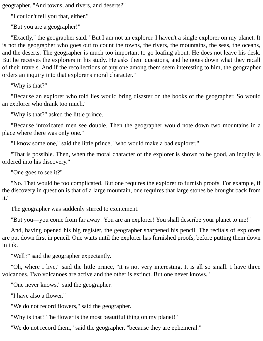geographer. "And towns, and rivers, and deserts?"

"I couldn't tell you that, either."

"But you are a geographer!"

"Exactly," the geographer said. "But I am not an explorer. I haven't a single explorer on my planet. It is not the geographer who goes out to count the towns, the rivers, the mountains, the seas, the oceans, and the deserts. The geographer is much too important to go loafing about. He does not leave his desk. But he receives the explorers in his study. He asks them questions, and he notes down what they recall of their travels. And if the recollections of any one among them seem interesting to him, the geographer orders an inquiry into that explorer's moral character."

"Why is that?"

"Because an explorer who told lies would bring disaster on the books of the geographer. So would an explorer who drank too much."

"Why is that?" asked the little prince.

"Because intoxicated men see double. Then the geographer would note down two mountains in a place where there was only one."

"I know some one," said the little prince, "who would make a bad explorer."

"That is possible. Then, when the moral character of the explorer is shown to be good, an inquiry is ordered into his discovery."

"One goes to see it?"

"No. That would be too complicated. But one requires the explorer to furnish proofs. For example, if the discovery in question is that of a large mountain, one requires that large stones be brought back from it."

The geographer was suddenly stirred to excitement.

"But you—you come from far away! You are an explorer! You shall describe your planet to me!"

And, having opened his big register, the geographer sharpened his pencil. The recitals of explorers are put down first in pencil. One waits until the explorer has furnished proofs, before putting them down in ink.

"Well?" said the geographer expectantly.

"Oh, where I live," said the little prince, "it is not very interesting. It is all so small. I have three volcanoes. Two volcanoes are active and the other is extinct. But one never knows."

"One never knows," said the geographer.

"I have also a flower."

"We do not record flowers," said the geographer.

"Why is that? The flower is the most beautiful thing on my planet!"

"We do not record them," said the geographer, "because they are ephemeral."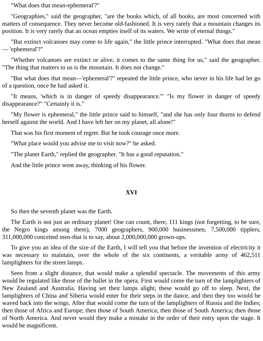"What does that mean-ephemeral'?"

"Geographies," said the geographer, "are the books which, of all books, are most concerned with matters of consequence. They never become old-fashioned. It is very rarely that a mountain changes its position. It is very rarely that an ocean empties itself of its waters. We write of eternal things."

"But extinct volcanoes may come to life again," the little prince interrupted. "What does that mean — 'ephemeral'?"

"Whether volcanoes are extinct or alive, it comes to the same thing for us," said the geographer. "The thing that matters to us is the mountain. It does not change."

"But what does that mean—'ephemeral'?" repeated the little prince, who never in his life had let go of a question, once he had asked it.

"It means, 'which is in danger of speedy disappearance.'" "Is my flower in danger of speedy disappearance?" "Certainly it is."

"My flower is ephemeral," the little prince said to himself, "and she has only four thorns to defend herself against the world. And I have left her on my planet, all alone!"

That was his first moment of regret. But he took courage once more.

"What place would you advise me to visit now?" he asked.

"The planet Earth," replied the geographer. "It has a good reputation."

And the little prince went away, thinking of his flower.

#### **XVI**

So then the seventh planet was the Earth.

The Earth is not just an ordinary planet! One can count, there, 111 kings (not forgetting, to be sure, the Negro kings among them), 7000 geographers, 900,000 businessmen, 7,500,000 tipplers, 311,000,000 conceited men-that is to say, about 2,000,000,000 grown-ups.

To give you an idea of the size of the Earth, I will tell you that before the invention of electricity it was necessary to maintain, over the whole of the six continents, a veritable army of 462,511 lamplighters for the street lamps.

Seen from a slight distance, that would make a splendid spectacle. The movements of this army would be regulated like those of the ballet in the opera. First would come the turn of the lamplighters of New Zealand and Australia. Having set their lamps alight, these would go off to sleep. Next, the lamplighters of China and Siberia would enter for their steps in the dance, and then they too would be waved back into the wings. After that would come the turn of the lamplighters of Russia and the Indies; then those of Africa and Europe; then those of South America; then those of South America; then those of North America. And never would they make a mistake in the order of their entry upon the stage. It would be magnificent.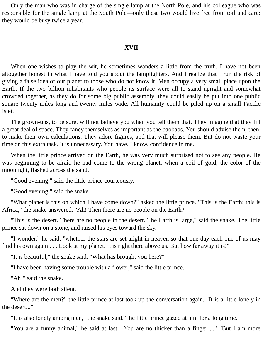Only the man who was in charge of the single lamp at the North Pole, and his colleague who was responsible for the single lamp at the South Pole—only these two would live free from toil and care: they would be busy twice a year.

#### **XVII**

When one wishes to play the wit, he sometimes wanders a little from the truth. I have not been altogether honest in what I have told you about the lamplighters. And I realize that I run the risk of giving a false idea of our planet to those who do not know it. Men occupy a very small place upon the Earth. If the two billion inhabitants who people its surface were all to stand upright and somewhat crowded together, as they do for some big public assembly, they could easily be put into one public square twenty miles long and twenty miles wide. All humanity could be piled up on a small Pacific islet.

The grown-ups, to be sure, will not believe you when you tell them that. They imagine that they fill a great deal of space. They fancy themselves as important as the baobabs. You should advise them, then, to make their own calculations. They adore figures, and that will please them. But do not waste your time on this extra task. It is unnecessary. You have, I know, confidence in me.

When the little prince arrived on the Earth, he was very much surprised not to see any people. He was beginning to be afraid he had come to the wrong planet, when a coil of gold, the color of the moonlight, flashed across the sand.

"Good evening," said the little prince courteously.

"Good evening," said the snake.

"What planet is this on which I have come down?" asked the little prince. "This is the Earth; this is Africa," the snake answered. "Ah! Then there are no people on the Earth?"

"This is the desert. There are no people in the desert. The Earth is large," said the snake. The little prince sat down on a stone, and raised his eyes toward the sky.

"I wonder," he said, "whether the stars are set alight in heaven so that one day each one of us may find his own again . . . Look at my planet. It is right there above us. But how far away it is!"

"It is beautiful," the snake said. "What has brought you here?"

"I have been having some trouble with a flower," said the little prince.

"Ah!" said the snake.

And they were both silent.

"Where are the men?" the little prince at last took up the conversation again. "It is a little lonely in the desert..."

"It is also lonely among men," the snake said. The little prince gazed at him for a long time.

"You are a funny animal," he said at last. "You are no thicker than a finger ..." "But I am more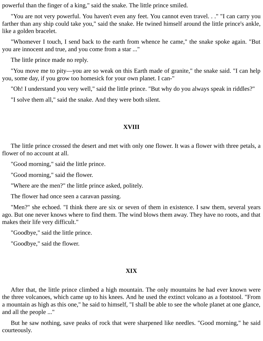powerful than the finger of a king," said the snake. The little prince smiled.

"You are not very powerful. You haven't even any feet. You cannot even travel. . ." "I can carry you farther than any ship could take you," said the snake. He twined himself around the little prince's ankle, like a golden bracelet.

"Whomever I touch, I send back to the earth from whence he came," the snake spoke again. "But you are innocent and true, and you come from a star ..."

The little prince made no reply.

"You move me to pity—you are so weak on this Earth made of granite," the snake said. "I can help you, some day, if you grow too homesick for your own planet. I can-"

"Oh! I understand you very well," said the little prince. "But why do you always speak in riddles?"

"I solve them all," said the snake. And they were both silent.

# **XVIII**

The little prince crossed the desert and met with only one flower. It was a flower with three petals, a flower of no account at all.

"Good morning," said the little prince.

"Good morning," said the flower.

"Where are the men?" the little prince asked, politely.

The flower had once seen a caravan passing.

"Men?" she echoed. "I think there are six or seven of them in existence. I saw them, several years ago. But one never knows where to find them. The wind blows them away. They have no roots, and that makes their life very difficult."

"Goodbye," said the little prince.

"Goodbye," said the flower.

#### **XIX**

After that, the little prince climbed a high mountain. The only mountains he had ever known were the three volcanoes, which came up to his knees. And he used the extinct volcano as a footstool. "From a mountain as high as this one," he said to himself, "I shall be able to see the whole planet at one glance, and all the people ..."

But he saw nothing, save peaks of rock that were sharpened like needles. "Good morning," he said courteously.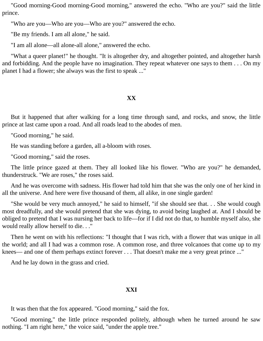"Good morning-Good morning-Good morning," answered the echo. "Who are you?" said the little prince.

"Who are you—Who are you—Who are you?" answered the echo.

"Be my friends. I am all alone," he said.

"I am all alone—all alone-all alone," answered the echo.

"What a queer planet!" he thought. "It is altogether dry, and altogether pointed, and altogether harsh and forbidding. And the people have no imagination. They repeat whatever one says to them . . . On my planet I had a flower; she always was the first to speak ..."

# **XX**

But it happened that after walking for a long time through sand, and rocks, and snow, the little prince at last came upon a road. And all roads lead to the abodes of men.

"Good morning," he said.

He was standing before a garden, all a-bloom with roses.

"Good morning," said the roses.

The little prince gazed at them. They all looked like his flower. "Who are you?" he demanded, thunderstruck. "We are roses," the roses said.

And he was overcome with sadness. His flower had told him that she was the only one of her kind in all the universe. And here were five thousand of them, all alike, in one single garden!

"She would be very much annoyed," he said to himself, "if she should see that. . . She would cough most dreadfully, and she would pretend that she was dying, to avoid being laughed at. And I should be obliged to pretend that I was nursing her back to life—for if I did not do that, to humble myself also, she would really allow herself to die. . ."

Then he went on with his reflections: "I thought that I was rich, with a flower that was unique in all the world; and all I had was a common rose. A common rose, and three volcanoes that come up to my knees— and one of them perhaps extinct forever . . . That doesn't make me a very great prince ..."

And he lay down in the grass and cried.

# **XXI**

It was then that the fox appeared. "Good morning," said the fox.

"Good morning," the little prince responded politely, although when he turned around he saw nothing. "I am right here," the voice said, "under the apple tree."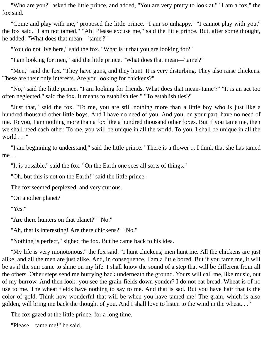"Who are you?" asked the little prince, and added, "You are very pretty to look at." "I am a fox," the fox said.

"Come and play with me," proposed the little prince. "I am so unhappy." "I cannot play with you," the fox said. "I am not tamed." "Ah! Please excuse me," said the little prince. But, after some thought, he added: "What does that mean—'tame'?"

"You do not live here," said the fox. "What is it that you are looking for?"

"I am looking for men," said the little prince. "What does that mean—'tame'?"

"Men," said the fox. "They have guns, and they hunt. It is very disturbing. They also raise chickens. These are their only interests. Are you looking for chickens?"

"No," said the little prince. "I am looking for friends. What does that mean-'tame'?" "It is an act too often neglected," said the fox. It means to establish ties." "To establish ties'?"

"Just that," said the fox. "To me, you are still nothing more than a little boy who is just like a hundred thousand other little boys. And I have no need of you. And you, on your part, have no need of me. To you, I am nothing more than a fox like a hundred thousand other foxes. But if you tame me, then we shall need each other. To me, you will be unique in all the world. To you, I shall be unique in all the world . . ."

"I am beginning to understand," said the little prince. "There is a flower ... I think that she has tamed me . .

"It is possible," said the fox. "On the Earth one sees all sorts of things."

"Oh, but this is not on the Earth!" said the little prince.

The fox seemed perplexed, and very curious.

"On another planet?"

"Yes."

"Are there hunters on that planet?" "No."

"Ah, that is interesting! Are there chickens?" "No."

"Nothing is perfect," sighed the fox. But he came back to his idea.

"My life is very monotonous," the fox said. "I hunt chickens; men hunt me. All the chickens are just alike, and all the men are just alike. And, in consequence, I am a little bored. But if you tame me, it will be as if the sun came to shine on my life. I shall know the sound of a step that will be different from all the others. Other steps send me hurrying back underneath the ground. Yours will call me, like music, out of my burrow. And then look: you see the grain-fields down yonder? I do not eat bread. Wheat is of no use to me. The wheat fields have nothing to say to me. And that is sad. But you have hair that is the color of gold. Think how wonderful that will be when you have tamed me! The grain, which is also golden, will bring me back the thought of you. And I shall love to listen to the wind in the wheat. . ."

The fox gazed at the little prince, for a long time.

"Please—tame me!" he said.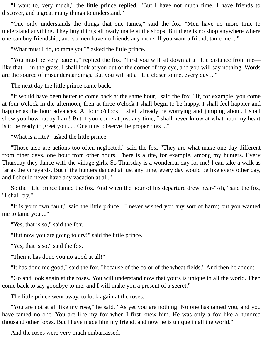"I want to, very much," the little prince replied. "But I have not much time. I have friends to discover, and a great many things to understand."

"One only understands the things that one tames," said the fox. "Men have no more time to understand anything. They buy things all ready made at the shops. But there is no shop anywhere where one can buy friendship, and so men have no friends any more. If you want a friend, tame me ..."

"What must I do, to tame you?" asked the little prince.

"You must be very patient," replied the fox. "First you will sit down at a little distance from me like that— in the grass. I shall look at you out of the corner of my eye, and you will say nothing. Words are the source of misunderstandings. But you will sit a little closer to me, every day ..."

The next day the little prince came back.

"It would have been better to come back at the same hour," said the fox. "If, for example, you come at four o'clock in the afternoon, then at three o'clock I shall begin to be happy. I shall feel happier and happier as the hour advances. At four o'clock, I shall already be worrying and jumping about. I shall show you how happy I am! But if you come at just any time, I shall never know at what hour my heart is to be ready to greet you . . . One must observe the proper rites ..."

"What is a rite?" asked the little prince.

"Those also are actions too often neglected," said the fox. "They are what make one day different from other days, one hour from other hours. There is a rite, for example, among my hunters. Every Thursday they dance with the village girls. So Thursday is a wonderful day for me! I can take a walk as far as the vineyards. But if the hunters danced at just any time, every day would be like every other day, and I should never have any vacation at all."

So the little prince tamed the fox. And when the hour of his departure drew near-"Ah," said the fox, "I shall cry."

"It is your own fault," said the little prince. "I never wished you any sort of harm; but you wanted me to tame you ..."

"Yes, that is so," said the fox.

"But now you are going to cry!" said the little prince.

"Yes, that is so," said the fox.

"Then it has done you no good at all!"

"It has done me good," said the fox, "because of the color of the wheat fields." And then he added:

"Go and look again at the roses. You will understand now that yours is unique in all the world. Then come back to say goodbye to me, and I will make you a present of a secret."

The little prince went away, to look again at the roses.

"You are not at all like my rose," he said. "As yet you are nothing. No one has tamed you, and you have tamed no one. You are like my fox when I first knew him. He was only a fox like a hundred thousand other foxes. But I have made him my friend, and now he is unique in all the world."

And the roses were very much embarrassed.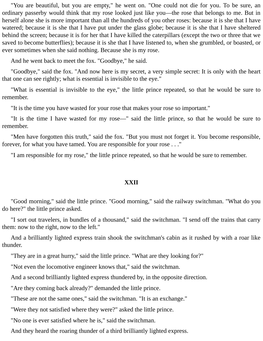"You are beautiful, but you are empty," he went on. "One could not die for you. To be sure, an ordinary passerby would think that my rose looked just like you—the rose that belongs to me. But in herself alone she is more important than all the hundreds of you other roses: because it is she that I have watered; because it is she that I have put under the glass globe; because it is she that I have sheltered behind the screen; because it is for her that I have killed the caterpillars (except the two or three that we saved to become butterflies); because it is she that I have listened to, when she grumbled, or boasted, or ever sometimes when she said nothing. Because she is my rose.

And he went back to meet the fox. "Goodbye," he said.

"Goodbye," said the fox. "And now here is my secret, a very simple secret: It is only with the heart that one can see rightly; what is essential is invisible to the eye."

"What is essential is invisible to the eye," the little prince repeated, so that he would be sure to remember.

"It is the time you have wasted for your rose that makes your rose so important."

"It is the time I have wasted for my rose—" said the little prince, so that he would be sure to remember.

"Men have forgotten this truth," said the fox. "But you must not forget it. You become responsible, forever, for what you have tamed. You are responsible for your rose . . ."

"I am responsible for my rose," the little prince repeated, so that he would be sure to remember.

#### **XXII**

"Good morning," said the little prince. "Good morning," said the railway switchman. "What do you do here?" the little prince asked.

"I sort out travelers, in bundles of a thousand," said the switchman. "I send off the trains that carry them: now to the right, now to the left."

And a brilliantly lighted express train shook the switchman's cabin as it rushed by with a roar like thunder.

"They are in a great hurry," said the little prince. "What are they looking for?"

"Not even the locomotive engineer knows that," said the switchman.

And a second brilliantly lighted express thundered by, in the opposite direction.

"Are they coming back already?" demanded the little prince.

"These are not the same ones," said the switchman. "It is an exchange."

"Were they not satisfied where they were?" asked the little prince.

"No one is ever satisfied where he is," said the switchman.

And they heard the roaring thunder of a third brilliantly lighted express.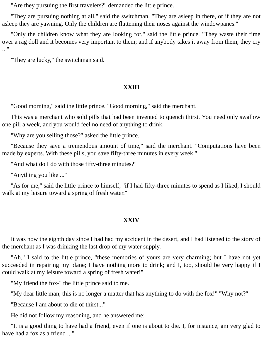"Are they pursuing the first travelers?" demanded the little prince.

"They are pursuing nothing at all," said the switchman. "They are asleep in there, or if they are not asleep they are yawning. Only the children are flattening their noses against the windowpanes."

"Only the children know what they are looking for," said the little prince. "They waste their time over a rag doll and it becomes very important to them; and if anybody takes it away from them, they cry ..."

"They are lucky," the switchman said.

# **XXIII**

"Good morning," said the little prince. "Good morning," said the merchant.

This was a merchant who sold pills that had been invented to quench thirst. You need only swallow one pill a week, and you would feel no need of anything to drink.

"Why are you selling those?" asked the little prince.

"Because they save a tremendous amount of time," said the merchant. "Computations have been made by experts. With these pills, you save fifty-three minutes in every week."

"And what do I do with those fifty-three minutes?"

"Anything you like ..."

"As for me," said the little prince to himself, "if I had fifty-three minutes to spend as I liked, I should walk at my leisure toward a spring of fresh water."

#### **XXIV**

It was now the eighth day since I had had my accident in the desert, and I had listened to the story of the merchant as I was drinking the last drop of my water supply.

"Ah," I said to the little prince, "these memories of yours are very charming; but I have not yet succeeded in repairing my plane; I have nothing more to drink; and I, too, should be very happy if I could walk at my leisure toward a spring of fresh water!"

"My friend the fox-" the little prince said to me.

"My dear little man, this is no longer a matter that has anything to do with the fox!" "Why not?"

"Because I am about to die of thirst..."

He did not follow my reasoning, and he answered me:

"It is a good thing to have had a friend, even if one is about to die. I, for instance, am very glad to have had a fox as a friend ..."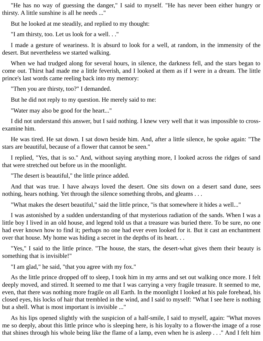"He has no way of guessing the danger," I said to myself. "He has never been either hungry or thirsty. A little sunshine is all he needs ..."

But he looked at me steadily, and replied to my thought:

"I am thirsty, too. Let us look for a well. . ."

I made a gesture of weariness. It is absurd to look for a well, at random, in the immensity of the desert. But nevertheless we started walking.

When we had trudged along for several hours, in silence, the darkness fell, and the stars began to come out. Thirst had made me a little feverish, and I looked at them as if I were in a dream. The little prince's last words came reeling back into my memory:

"Then you are thirsty, too?" I demanded.

But he did not reply to my question. He merely said to me:

"Water may also be good for the heart..."

I did not understand this answer, but I said nothing. I knew very well that it was impossible to crossexamine him.

He was tired. He sat down. I sat down beside him. And, after a little silence, he spoke again: "The stars are beautiful, because of a flower that cannot be seen."

I replied, "Yes, that is so." And, without saying anything more, I looked across the ridges of sand that were stretched out before us in the moonlight.

"The desert is beautiful," the little prince added.

And that was true. I have always loved the desert. One sits down on a desert sand dune, sees nothing, hears nothing. Yet through the silence something throbs, and gleams . . .

"What makes the desert beautiful," said the little prince, "is that somewhere it hides a well..."

I was astonished by a sudden understanding of that mysterious radiation of the sands. When I was a little boy I lived in an old house, and legend told us that a treasure was buried there. To be sure, no one had ever known how to find it; perhaps no one had ever even looked for it. But it cast an enchantment over that house. My home was hiding a secret in the depths of its heart. . .

"Yes," I said to the little prince. "The house, the stars, the desert-what gives them their beauty is something that is invisible!"

"I am glad," he said, "that you agree with my fox."

As the little prince dropped off to sleep, I took him in my arms and set out walking once more. I felt deeply moved, and stirred. It seemed to me that I was carrying a very fragile treasure. It seemed to me, even, that there was nothing more fragile on all Earth. In the moonlight I looked at his pale forehead, his closed eyes, his locks of hair that trembled in the wind, and I said to myself: "What I see here is nothing but a shell. What is most important is invisible ..."

As his lips opened slightly with the suspicion of a half-smile, I said to myself, again: "What moves me so deeply, about this little prince who is sleeping here, is his loyalty to a flower-the image of a rose that shines through his whole being like the flame of a lamp, even when he is asleep . . ." And I felt him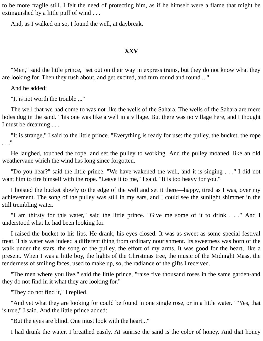to be more fragile still. I felt the need of protecting him, as if he himself were a flame that might be extinguished by a little puff of wind . . .

And, as I walked on so, I found the well, at daybreak.

# **XXV**

"Men," said the little prince, "set out on their way in express trains, but they do not know what they are looking for. Then they rush about, and get excited, and turn round and round ..."

And he added:

"It is not worth the trouble ..."

The well that we had come to was not like the wells of the Sahara. The wells of the Sahara are mere holes dug in the sand. This one was like a well in a village. But there was no village here, and I thought I must be dreaming . . .

"It is strange," I said to the little prince. "Everything is ready for use: the pulley, the bucket, the rope . . ."

He laughed, touched the rope, and set the pulley to working. And the pulley moaned, like an old weathervane which the wind has long since forgotten.

"Do you hear?" said the little prince. "We have wakened the well, and it is singing . . ." I did not want him to tire himself with the rope. "Leave it to me," I said. "It is too heavy for you."

I hoisted the bucket slowly to the edge of the well and set it there—happy, tired as I was, over my achievement. The song of the pulley was still in my ears, and I could see the sunlight shimmer in the still trembling water.

"I am thirsty for this water," said the little prince. "Give me some of it to drink . . ." And I understood what he had been looking for.

I raised the bucket to his lips. He drank, his eyes closed. It was as sweet as some special festival treat. This water was indeed a different thing from ordinary nourishment. Its sweetness was born of the walk under the stars, the song of the pulley, the effort of my arms. It was good for the heart, like a present. When I was a little boy, the lights of the Christmas tree, the music of the Midnight Mass, the tenderness of smiling faces, used to make up, so, the radiance of the gifts I received.

"The men where you live," said the little prince, "raise five thousand roses in the same garden-and they do not find in it what they are looking for."

"They do not find it," I replied.

"And yet what they are looking for could be found in one single rose, or in a little water." "Yes, that is true," I said. And the little prince added:

"But the eyes are blind. One must look with the heart..."

I had drunk the water. I breathed easily. At sunrise the sand is the color of honey. And that honey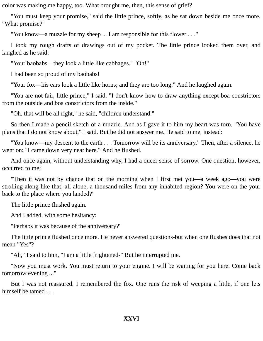color was making me happy, too. What brought me, then, this sense of grief?

"You must keep your promise," said the little prince, softly, as he sat down beside me once more. "What promise?"

"You know—a muzzle for my sheep ... I am responsible for this flower . . ."

I took my rough drafts of drawings out of my pocket. The little prince looked them over, and laughed as he said:

"Your baobabs—they look a little like cabbages." "Oh!"

I had been so proud of my baobabs!

"Your fox—his ears look a little like horns; and they are too long." And he laughed again.

"You are not fair, little prince," I said. "I don't know how to draw anything except boa constrictors from the outside and boa constrictors from the inside."

"Oh, that will be all right," he said, "children understand."

So then I made a pencil sketch of a muzzle. And as I gave it to him my heart was torn. "You have plans that I do not know about," I said. But he did not answer me. He said to me, instead:

"You know—my descent to the earth . . . Tomorrow will be its anniversary." Then, after a silence, he went on: "I came down very near here." And he flushed.

And once again, without understanding why, I had a queer sense of sorrow. One question, however, occurred to me:

"Then it was not by chance that on the morning when I first met you—a week ago—you were strolling along like that, all alone, a thousand miles from any inhabited region? You were on the your back to the place where you landed?"

The little prince flushed again.

And I added, with some hesitancy:

"Perhaps it was because of the anniversary?"

The little prince flushed once more. He never answered questions-but when one flushes does that not mean "Yes"?

"Ah," I said to him, "I am a little frightened-" But he interrupted me.

"Now you must work. You must return to your engine. I will be waiting for you here. Come back tomorrow evening ..."

But I was not reassured. I remembered the fox. One runs the risk of weeping a little, if one lets himself be tamed . . .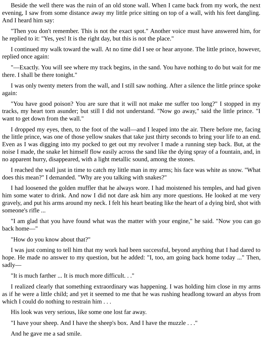Beside the well there was the ruin of an old stone wall. When I came back from my work, the next evening, I saw from some distance away my little price sitting on top of a wall, with his feet dangling. And I heard him say:

"Then you don't remember. This is not the exact spot." Another voice must have answered him, for he replied to it: "Yes, yes! It is the right day, but this is not the place."

I continued my walk toward the wall. At no time did I see or hear anyone. The little prince, however, replied once again:

"—Exactly. You will see where my track begins, in the sand. You have nothing to do but wait for me there. I shall be there tonight."

I was only twenty meters from the wall, and I still saw nothing. After a silence the little prince spoke again:

"You have good poison? You are sure that it will not make me suffer too long?" I stopped in my tracks, my heart torn asunder; but still I did not understand. "Now go away," said the little prince. "I want to get down from the wall."

I dropped my eyes, then, to the foot of the wall—and I leaped into the air. There before me, facing the little prince, was one of those yellow snakes that take just thirty seconds to bring your life to an end. Even as I was digging into my pocked to get out my revolver I made a running step back. But, at the noise I made, the snake let himself flow easily across the sand like the dying spray of a fountain, and, in no apparent hurry, disappeared, with a light metallic sound, among the stones.

I reached the wall just in time to catch my little man in my arms; his face was white as snow. "What does this mean?" I demanded. "Why are you talking with snakes?"

I had loosened the golden muffler that he always wore. I had moistened his temples, and had given him some water to drink. And now I did not dare ask him any more questions. He looked at me very gravely, and put his arms around my neck. I felt his heart beating like the heart of a dying bird, shot with someone's rifle ...

"I am glad that you have found what was the matter with your engine," he said. "Now you can go back home—"

"How do you know about that?"

I was just coming to tell him that my work had been successful, beyond anything that I had dared to hope. He made no answer to my question, but he added: "I, too, am going back home today ..." Then, sadly—

"It is much farther ... It is much more difficult. . ."

I realized clearly that something extraordinary was happening. I was holding him close in my arms as if he were a little child; and yet it seemed to me that he was rushing headlong toward an abyss from which I could do nothing to restrain him . . .

His look was very serious, like some one lost far away.

"I have your sheep. And I have the sheep's box. And I have the muzzle . . ."

And he gave me a sad smile.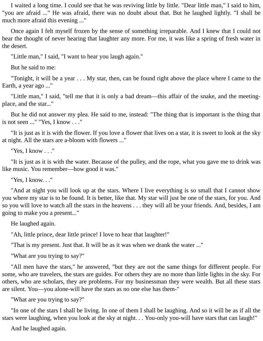I waited a long time. I could see that he was reviving little by little. "Dear little man," I said to him, "you are afraid ..." He was afraid, there was no doubt about that. But he laughed lightly. "I shall be much more afraid this evening ..."

Once again I felt myself frozen by the sense of something irreparable. And I knew that I could not bear the thought of never hearing that laughter any more. For me, it was like a spring of fresh water in the desert.

"Little man," I said, "I want to hear you laugh again."

But he said to me:

"Tonight, it will be a year . . . My star, then, can be found right above the place where I came to the Earth, a year ago ..."

"Little man," I said, "tell me that it is only a bad dream—this affair of the snake, and the meetingplace, and the star..."

But he did not answer my plea. He said to me, instead: "The thing that is important is the thing that is not seen ..." "Yes, I know . . ."

"It is just as it is with the flower. If you love a flower that lives on a star, it is sweet to look at the sky at night. All the stars are a-bloom with flowers ..."

"Yes, I know . . ."

"It is just as it is with the water. Because of the pulley, and the rope, what you gave me to drink was like music. You remember—how good it was."

"Yes, I know. . ."

"And at night you will look up at the stars. Where I live everything is so small that I cannot show you where my star is to be found. It is better, like that. My star will just be one of the stars, for you. And so you will love to watch all the stars in the heavens . . . they will all be your friends. And, besides, I am going to make you a present..."

He laughed again.

"Ah, little prince, dear little prince! I love to hear that laughter!"

"That is my present. Just that. It will be as it was when we drank the water ..."

"What are you trying to say?"

"All men have the stars," he answered, "but they are not the same things for different people. For some, who are travelers, the stars are guides. For others they are no more than little lights in the sky. For others, who are scholars, they are problems. For my businessman they were wealth. But all these stars are silent. You—you alone-will have the stars as no one else has them-"

"What are you trying to say?"

"In one of the stars I shall be living. In one of them I shall be laughing. And so it will be as if all the stars were laughing, when you look at the sky at night. . . You-only you-will have stars that can laugh!"

And he laughed again.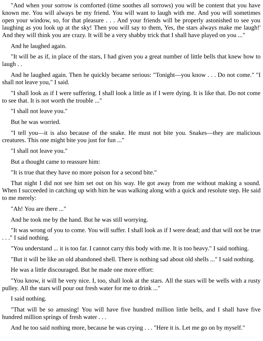"And when your sorrow is comforted (time soothes all sorrows) you will be content that you have known me. You will always be my friend. You will want to laugh with me. And you will sometimes open your window, so, for that pleasure . . . And your friends will be properly astonished to see you laughing as you look up at the sky! Then you will say to them, Yes, the stars always make me laugh!' And they will think you are crazy. It will be a very shabby trick that I shall have played on you ..."

And he laughed again.

"It will be as if, in place of the stars, I had given you a great number of little bells that knew how to laugh . .

And he laughed again. Then he quickly became serious: "Tonight—you know . . . Do not come." "I shall not leave you," I said.

"I shall look as if I were suffering. I shall look a little as if I were dying. It is like that. Do not come to see that. It is not worth the trouble ..."

"I shall not leave you."

But he was worried.

"I tell you—it is also because of the snake. He must not bite you. Snakes—they are malicious creatures. This one might bite you just for fun ..."

"I shall not leave you."

But a thought came to reassure him:

"It is true that they have no more poison for a second bite."

That night I did not see him set out on his way. He got away from me without making a sound. When I succeeded in catching up with him he was walking along with a quick and resolute step. He said to me merely:

"Ah! You are there ..."

And he took me by the hand. But he was still worrying.

"It was wrong of you to come. You will suffer. I shall look as if I were dead; and that will not be true . . ." I said nothing.

"You understand ... it is too far. I cannot carry this body with me. It is too heavy." I said nothing.

"But it will be like an old abandoned shell. There is nothing sad about old shells ..." I said nothing.

He was a little discouraged. But he made one more effort:

"You know, it will be very nice. I, too, shall look at the stars. All the stars will be wells with a rusty pulley. All the stars will pour out fresh water for me to drink ..."

I said nothing.

"That will be so amusing! You will have five hundred million little bells, and I shall have five hundred million springs of fresh water . . .

And he too said nothing more, because he was crying . . . "Here it is. Let me go on by myself."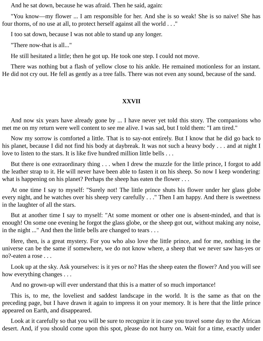And he sat down, because he was afraid. Then he said, again:

"You know—my flower ... I am responsible for her. And she is so weak! She is so naive! She has four thorns, of no use at all, to protect herself against all the world . . ."

I too sat down, because I was not able to stand up any longer.

"There now-that is all..."

He still hesitated a little; then he got up. He took one step. I could not move.

There was nothing but a flash of yellow close to his ankle. He remained motionless for an instant. He did not cry out. He fell as gently as a tree falls. There was not even any sound, because of the sand.

# **XXVII**

And now six years have already gone by ... I have never yet told this story. The companions who met me on my return were well content to see me alive. I was sad, but I told them: "I am tired."

Now my sorrow is comforted a little. That is to say-not entirely. But I know that he did go back to his planet, because I did not find his body at daybreak. It was not such a heavy body . . . and at night I love to listen to the stars. It is like five hundred million little bells . . .

But there is one extraordinary thing . . . when I drew the muzzle for the little prince, I forgot to add the leather strap to it. He will never have been able to fasten it on his sheep. So now I keep wondering: what is happening on his planet? Perhaps the sheep has eaten the flower . . .

At one time I say to myself: "Surely not! The little prince shuts his flower under her glass globe every night, and he watches over his sheep very carefully . . ." Then I am happy. And there is sweetness in the laughter of all the stars.

But at another time I say to myself: "At some moment or other one is absent-minded, and that is enough! On some one evening he forgot the glass globe, or the sheep got out, without making any noise, in the night ..." And then the little bells are changed to tears . . .

Here, then, is a great mystery. For you who also love the little prince, and for me, nothing in the universe can be the same if somewhere, we do not know where, a sheep that we never saw has-yes or no?-eaten a rose . . .

Look up at the sky. Ask yourselves: is it yes or no? Has the sheep eaten the flower? And you will see how everything changes . . .

And no grown-up will ever understand that this is a matter of so much importance!

This is, to me, the loveliest and saddest landscape in the world. It is the same as that on the preceding page, but I have drawn it again to impress it on your memory. It is here that the little prince appeared on Earth, and disappeared.

Look at it carefully so that you will be sure to recognize it in case you travel some day to the African desert. And, if you should come upon this spot, please do not hurry on. Wait for a time, exactly under